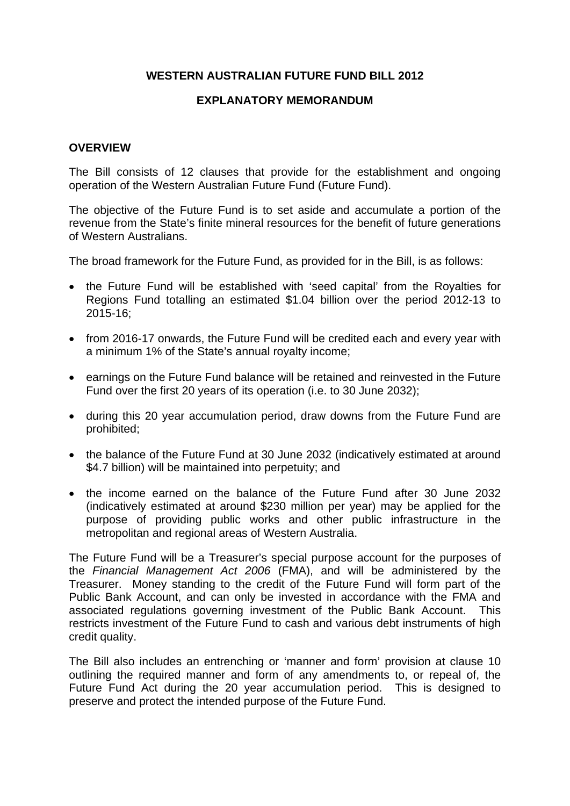## **WESTERN AUSTRALIAN FUTURE FUND BILL 2012**

#### **EXPLANATORY MEMORANDUM**

#### **OVERVIEW**

The Bill consists of 12 clauses that provide for the establishment and ongoing operation of the Western Australian Future Fund (Future Fund).

The objective of the Future Fund is to set aside and accumulate a portion of the revenue from the State's finite mineral resources for the benefit of future generations of Western Australians.

The broad framework for the Future Fund, as provided for in the Bill, is as follows:

- the Future Fund will be established with 'seed capital' from the Royalties for Regions Fund totalling an estimated \$1.04 billion over the period 2012-13 to 2015-16;
- from 2016-17 onwards, the Future Fund will be credited each and every year with a minimum 1% of the State's annual royalty income;
- earnings on the Future Fund balance will be retained and reinvested in the Future Fund over the first 20 years of its operation (i.e. to 30 June 2032);
- during this 20 year accumulation period, draw downs from the Future Fund are prohibited;
- the balance of the Future Fund at 30 June 2032 (indicatively estimated at around \$4.7 billion) will be maintained into perpetuity; and
- the income earned on the balance of the Future Fund after 30 June 2032 (indicatively estimated at around \$230 million per year) may be applied for the purpose of providing public works and other public infrastructure in the metropolitan and regional areas of Western Australia.

The Future Fund will be a Treasurer's special purpose account for the purposes of the *Financial Management Act 2006* (FMA), and will be administered by the Treasurer. Money standing to the credit of the Future Fund will form part of the Public Bank Account, and can only be invested in accordance with the FMA and associated regulations governing investment of the Public Bank Account. This restricts investment of the Future Fund to cash and various debt instruments of high credit quality.

The Bill also includes an entrenching or 'manner and form' provision at clause 10 outlining the required manner and form of any amendments to, or repeal of, the Future Fund Act during the 20 year accumulation period. This is designed to preserve and protect the intended purpose of the Future Fund.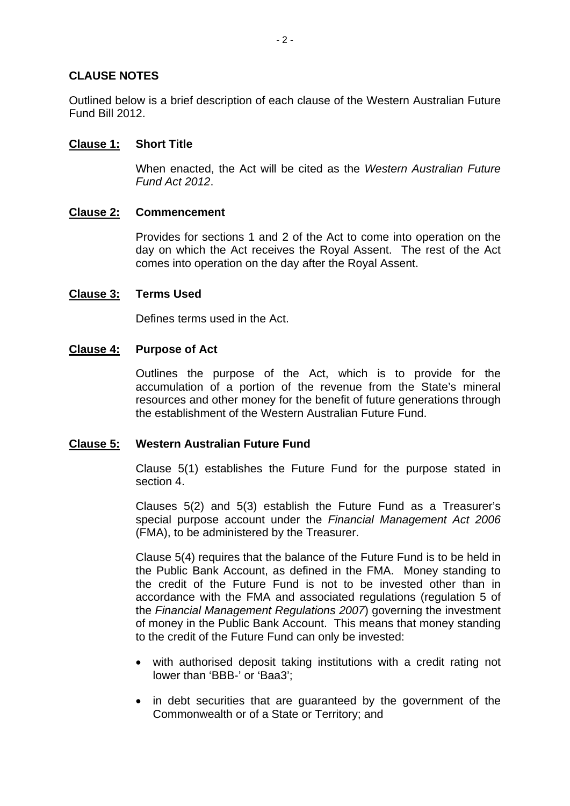### **CLAUSE NOTES**

Outlined below is a brief description of each clause of the Western Australian Future Fund Bill 2012.

#### **Clause 1: Short Title**

When enacted, the Act will be cited as the *Western Australian Future Fund Act 2012*.

### **Clause 2: Commencement**

Provides for sections 1 and 2 of the Act to come into operation on the day on which the Act receives the Royal Assent. The rest of the Act comes into operation on the day after the Royal Assent.

### **Clause 3: Terms Used**

Defines terms used in the Act.

### **Clause 4: Purpose of Act**

Outlines the purpose of the Act, which is to provide for the accumulation of a portion of the revenue from the State's mineral resources and other money for the benefit of future generations through the establishment of the Western Australian Future Fund.

#### **Clause 5: Western Australian Future Fund**

Clause 5(1) establishes the Future Fund for the purpose stated in section 4.

Clauses 5(2) and 5(3) establish the Future Fund as a Treasurer's special purpose account under the *Financial Management Act 2006*  (FMA), to be administered by the Treasurer.

Clause 5(4) requires that the balance of the Future Fund is to be held in the Public Bank Account, as defined in the FMA. Money standing to the credit of the Future Fund is not to be invested other than in accordance with the FMA and associated regulations (regulation 5 of the *Financial Management Regulations 2007*) governing the investment of money in the Public Bank Account. This means that money standing to the credit of the Future Fund can only be invested:

- with authorised deposit taking institutions with a credit rating not lower than 'BBB-' or 'Baa3';
- in debt securities that are quaranteed by the government of the Commonwealth or of a State or Territory; and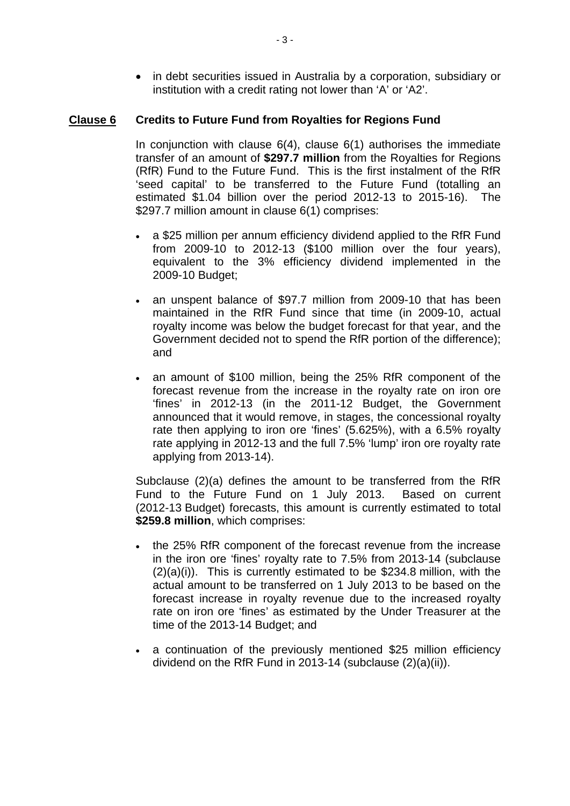• in debt securities issued in Australia by a corporation, subsidiary or institution with a credit rating not lower than 'A' or 'A2'.

# **Clause 6 Credits to Future Fund from Royalties for Regions Fund**

In conjunction with clause  $6(4)$ , clause  $6(1)$  authorises the immediate transfer of an amount of **\$297.7 million** from the Royalties for Regions (RfR) Fund to the Future Fund. This is the first instalment of the RfR 'seed capital' to be transferred to the Future Fund (totalling an estimated \$1.04 billion over the period 2012-13 to 2015-16). The \$297.7 million amount in clause 6(1) comprises:

- a \$25 million per annum efficiency dividend applied to the RfR Fund from 2009-10 to 2012-13 (\$100 million over the four years), equivalent to the 3% efficiency dividend implemented in the 2009-10 Budget;
- an unspent balance of \$97.7 million from 2009-10 that has been maintained in the RfR Fund since that time (in 2009-10, actual royalty income was below the budget forecast for that year, and the Government decided not to spend the RfR portion of the difference); and
- an amount of \$100 million, being the 25% RfR component of the forecast revenue from the increase in the royalty rate on iron ore 'fines' in 2012-13 (in the 2011-12 Budget, the Government announced that it would remove, in stages, the concessional royalty rate then applying to iron ore 'fines' (5.625%), with a 6.5% royalty rate applying in 2012-13 and the full 7.5% 'lump' iron ore royalty rate applying from 2013-14).

Subclause (2)(a) defines the amount to be transferred from the RfR Fund to the Future Fund on 1 July 2013. Based on current (2012-13 Budget) forecasts, this amount is currently estimated to total **\$259.8 million**, which comprises:

- the 25% RfR component of the forecast revenue from the increase in the iron ore 'fines' royalty rate to 7.5% from 2013-14 (subclause (2)(a)(i)). This is currently estimated to be \$234.8 million, with the actual amount to be transferred on 1 July 2013 to be based on the forecast increase in royalty revenue due to the increased royalty rate on iron ore 'fines' as estimated by the Under Treasurer at the time of the 2013-14 Budget; and
- a continuation of the previously mentioned \$25 million efficiency dividend on the RfR Fund in 2013-14 (subclause (2)(a)(ii)).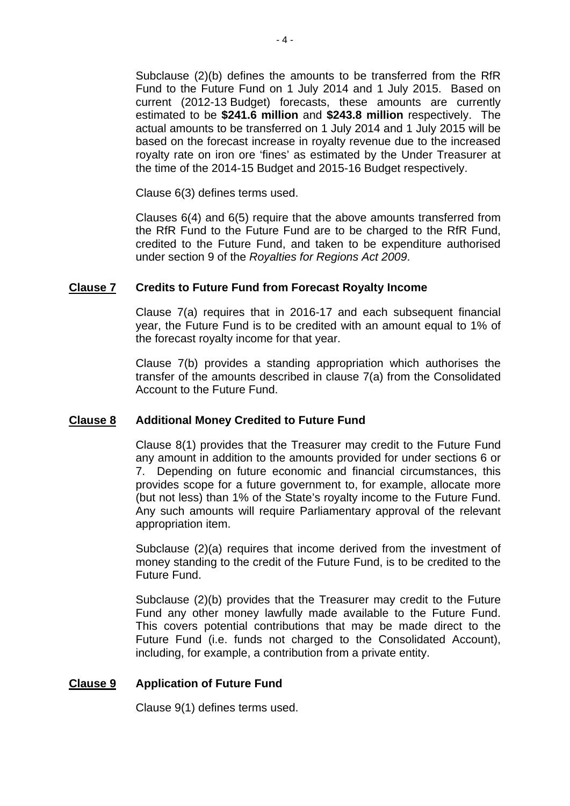Subclause (2)(b) defines the amounts to be transferred from the RfR Fund to the Future Fund on 1 July 2014 and 1 July 2015. Based on current (2012-13 Budget) forecasts, these amounts are currently estimated to be **\$241.6 million** and **\$243.8 million** respectively. The actual amounts to be transferred on 1 July 2014 and 1 July 2015 will be based on the forecast increase in royalty revenue due to the increased royalty rate on iron ore 'fines' as estimated by the Under Treasurer at the time of the 2014-15 Budget and 2015-16 Budget respectively.

Clause 6(3) defines terms used.

Clauses 6(4) and 6(5) require that the above amounts transferred from the RfR Fund to the Future Fund are to be charged to the RfR Fund, credited to the Future Fund, and taken to be expenditure authorised under section 9 of the *Royalties for Regions Act 2009*.

## **Clause 7 Credits to Future Fund from Forecast Royalty Income**

Clause 7(a) requires that in 2016-17 and each subsequent financial year, the Future Fund is to be credited with an amount equal to 1% of the forecast royalty income for that year.

Clause 7(b) provides a standing appropriation which authorises the transfer of the amounts described in clause 7(a) from the Consolidated Account to the Future Fund.

## **Clause 8 Additional Money Credited to Future Fund**

Clause 8(1) provides that the Treasurer may credit to the Future Fund any amount in addition to the amounts provided for under sections 6 or 7. Depending on future economic and financial circumstances, this provides scope for a future government to, for example, allocate more (but not less) than 1% of the State's royalty income to the Future Fund. Any such amounts will require Parliamentary approval of the relevant appropriation item.

Subclause (2)(a) requires that income derived from the investment of money standing to the credit of the Future Fund, is to be credited to the Future Fund.

Subclause (2)(b) provides that the Treasurer may credit to the Future Fund any other money lawfully made available to the Future Fund. This covers potential contributions that may be made direct to the Future Fund (i.e. funds not charged to the Consolidated Account), including, for example, a contribution from a private entity.

## **Clause 9 Application of Future Fund**

Clause 9(1) defines terms used.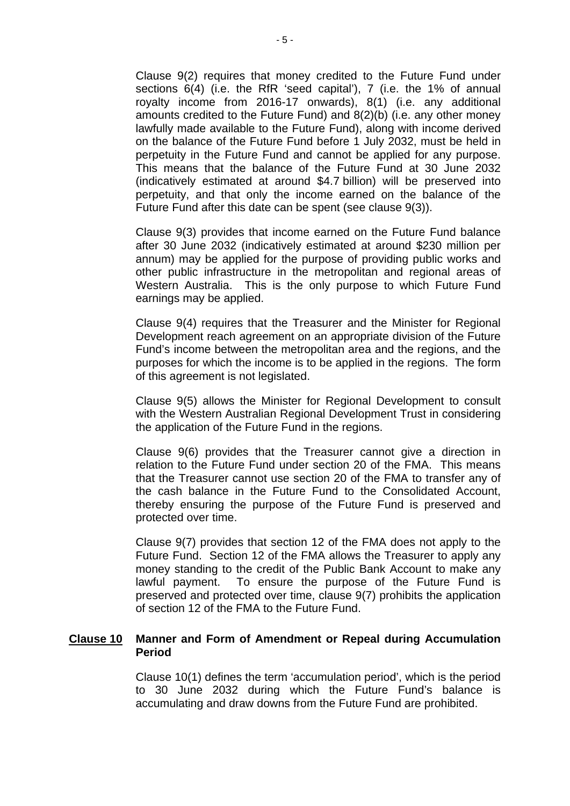Clause 9(2) requires that money credited to the Future Fund under sections 6(4) (i.e. the RfR 'seed capital'), 7 (i.e. the 1% of annual royalty income from 2016-17 onwards), 8(1) (i.e. any additional amounts credited to the Future Fund) and 8(2)(b) (i.e. any other money lawfully made available to the Future Fund), along with income derived on the balance of the Future Fund before 1 July 2032, must be held in perpetuity in the Future Fund and cannot be applied for any purpose. This means that the balance of the Future Fund at 30 June 2032 (indicatively estimated at around \$4.7 billion) will be preserved into perpetuity, and that only the income earned on the balance of the Future Fund after this date can be spent (see clause 9(3)).

Clause 9(3) provides that income earned on the Future Fund balance after 30 June 2032 (indicatively estimated at around \$230 million per annum) may be applied for the purpose of providing public works and other public infrastructure in the metropolitan and regional areas of Western Australia. This is the only purpose to which Future Fund earnings may be applied.

Clause 9(4) requires that the Treasurer and the Minister for Regional Development reach agreement on an appropriate division of the Future Fund's income between the metropolitan area and the regions, and the purposes for which the income is to be applied in the regions. The form of this agreement is not legislated.

Clause 9(5) allows the Minister for Regional Development to consult with the Western Australian Regional Development Trust in considering the application of the Future Fund in the regions.

Clause 9(6) provides that the Treasurer cannot give a direction in relation to the Future Fund under section 20 of the FMA. This means that the Treasurer cannot use section 20 of the FMA to transfer any of the cash balance in the Future Fund to the Consolidated Account, thereby ensuring the purpose of the Future Fund is preserved and protected over time.

Clause 9(7) provides that section 12 of the FMA does not apply to the Future Fund. Section 12 of the FMA allows the Treasurer to apply any money standing to the credit of the Public Bank Account to make any lawful payment. To ensure the purpose of the Future Fund is preserved and protected over time, clause 9(7) prohibits the application of section 12 of the FMA to the Future Fund.

#### **Clause 10 Manner and Form of Amendment or Repeal during Accumulation Period**

Clause 10(1) defines the term 'accumulation period', which is the period to 30 June 2032 during which the Future Fund's balance is accumulating and draw downs from the Future Fund are prohibited.